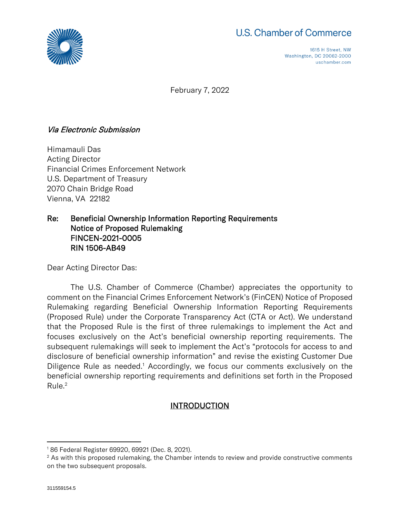



1615 H Street, NW Washington, DC 20062-2000 uschamber.com

February 7, 2022

### Via Electronic Submission

Himamauli Das Acting Director Financial Crimes Enforcement Network U.S. Department of Treasury 2070 Chain Bridge Road Vienna, VA 22182

#### Re: Beneficial Ownership Information Reporting Requirements Notice of Proposed Rulemaking FINCEN-2021-0005 RIN 1506-AB49

Dear Acting Director Das:

The U.S. Chamber of Commerce (Chamber) appreciates the opportunity to comment on the Financial Crimes Enforcement Network's (FinCEN) Notice of Proposed Rulemaking regarding Beneficial Ownership Information Reporting Requirements (Proposed Rule) under the Corporate Transparency Act (CTA or Act). We understand that the Proposed Rule is the first of three rulemakings to implement the Act and focuses exclusively on the Act's beneficial ownership reporting requirements. The subsequent rulemakings will seek to implement the Act's "protocols for access to and disclosure of beneficial ownership information" and revise the existing Customer Due Diligence Rule as needed.<sup>1</sup> Accordingly, we focus our comments exclusively on the beneficial ownership reporting requirements and definitions set forth in the Proposed Rule.<sup>2</sup>

### **INTRODUCTION**

<sup>1</sup> 86 Federal Register 69920, 69921 (Dec. 8, 2021).

 $2$  As with this proposed rulemaking, the Chamber intends to review and provide constructive comments on the two subsequent proposals.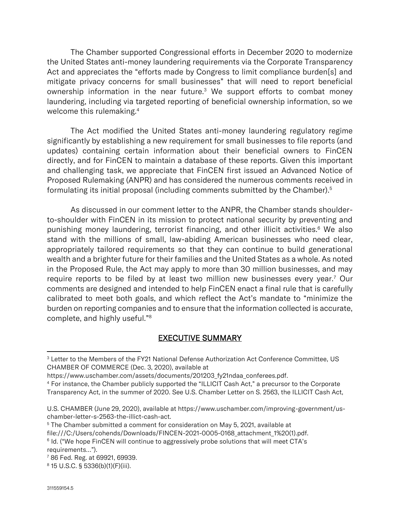The Chamber supported Congressional efforts in December 2020 to modernize the United States anti-money laundering requirements via the Corporate Transparency Act and appreciates the "efforts made by Congress to limit compliance burden[s] and mitigate privacy concerns for small businesses" that will need to report beneficial ownership information in the near future.<sup>3</sup> We support efforts to combat money laundering, including via targeted reporting of beneficial ownership information, so we welcome this rulemaking.<sup>4</sup>

The Act modified the United States anti-money laundering regulatory regime significantly by establishing a new requirement for small businesses to file reports (and updates) containing certain information about their beneficial owners to FinCEN directly, and for FinCEN to maintain a database of these reports. Given this important and challenging task, we appreciate that FinCEN first issued an Advanced Notice of Proposed Rulemaking (ANPR) and has considered the numerous comments received in formulating its initial proposal (including comments submitted by the Chamber).<sup>5</sup>

As discussed in our comment letter to the ANPR, the Chamber stands shoulderto-shoulder with FinCEN in its mission to protect national security by preventing and punishing money laundering, terrorist financing, and other illicit activities.<sup>6</sup> We also stand with the millions of small, law-abiding American businesses who need clear, appropriately tailored requirements so that they can continue to build generational wealth and a brighter future for their families and the United States as a whole. As noted in the Proposed Rule, the Act may apply to more than 30 million businesses, and may require reports to be filed by at least two million new businesses every year.<sup>7</sup> Our comments are designed and intended to help FinCEN enact a final rule that is carefully calibrated to meet both goals, and which reflect the Act's mandate to "minimize the burden on reporting companies and to ensure that the information collected is accurate, complete, and highly useful."<sup>8</sup>

### EXECUTIVE SUMMARY

<sup>&</sup>lt;sup>3</sup> Letter to the Members of the FY21 National Defense Authorization Act Conference Committee, US CHAMBER OF COMMERCE (Dec. 3, 2020), available at

https://www.uschamber.com/assets/documents/201203\_fy21ndaa\_conferees.pdf.

<sup>4</sup> For instance, the Chamber publicly supported the "ILLICIT Cash Act," a precursor to the Corporate Transparency Act, in the summer of 2020. See U.S. Chamber Letter on S. 2563, the ILLICIT Cash Act,

U.S. CHAMBER (June 29, 2020), available at https://www.uschamber.com/improving-government/uschamber-letter-s-2563-the-illict-cash-act.

 $5$  The Chamber submitted a comment for consideration on May 5, 2021, available at file:///C:/Users/cohends/Downloads/FINCEN-2021-0005-0168\_attachment\_1%20(1).pdf. 6 Id. ("We hope FinCEN will continue to aggressively probe solutions that will meet CTA's requirements…").

<sup>7</sup> 86 Fed. Reg. at 69921, 69939.

<sup>8</sup> 15 U.S.C. § 5336(b)(1)(F)(iii).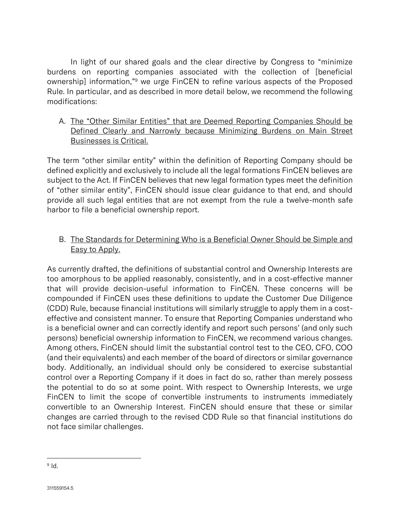In light of our shared goals and the clear directive by Congress to "minimize burdens on reporting companies associated with the collection of [beneficial ownership] information,"<sup>9</sup> we urge FinCEN to refine various aspects of the Proposed Rule. In particular, and as described in more detail below, we recommend the following modifications:

A. The "Other Similar Entities" that are Deemed Reporting Companies Should be Defined Clearly and Narrowly because Minimizing Burdens on Main Street Businesses is Critical.

The term "other similar entity" within the definition of Reporting Company should be defined explicitly and exclusively to include all the legal formations FinCEN believes are subject to the Act. If FinCEN believes that new legal formation types meet the definition of "other similar entity", FinCEN should issue clear guidance to that end, and should provide all such legal entities that are not exempt from the rule a twelve-month safe harbor to file a beneficial ownership report.

# B. The Standards for Determining Who is a Beneficial Owner Should be Simple and Easy to Apply.

As currently drafted, the definitions of substantial control and Ownership Interests are too amorphous to be applied reasonably, consistently, and in a cost-effective manner that will provide decision-useful information to FinCEN. These concerns will be compounded if FinCEN uses these definitions to update the Customer Due Diligence (CDD) Rule, because financial institutions will similarly struggle to apply them in a costeffective and consistent manner. To ensure that Reporting Companies understand who is a beneficial owner and can correctly identify and report such persons' (and only such persons) beneficial ownership information to FinCEN, we recommend various changes. Among others, FinCEN should limit the substantial control test to the CEO, CFO, COO (and their equivalents) and each member of the board of directors or similar governance body. Additionally, an individual should only be considered to exercise substantial control over a Reporting Company if it does in fact do so, rather than merely possess the potential to do so at some point. With respect to Ownership Interests, we urge FinCEN to limit the scope of convertible instruments to instruments immediately convertible to an Ownership Interest. FinCEN should ensure that these or similar changes are carried through to the revised CDD Rule so that financial institutions do not face similar challenges.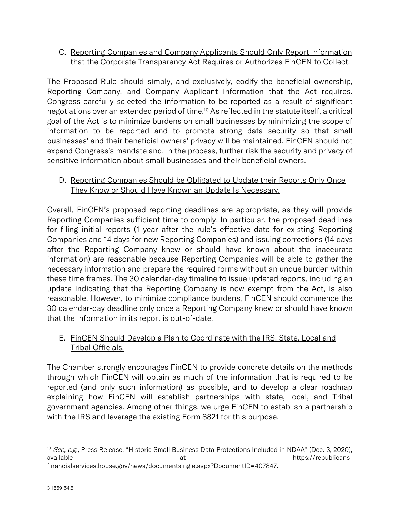# C. Reporting Companies and Company Applicants Should Only Report Information that the Corporate Transparency Act Requires or Authorizes FinCEN to Collect.

The Proposed Rule should simply, and exclusively, codify the beneficial ownership, Reporting Company, and Company Applicant information that the Act requires. Congress carefully selected the information to be reported as a result of significant negotiations over an extended period of time.<sup>10</sup> As reflected in the statute itself, a critical goal of the Act is to minimize burdens on small businesses by minimizing the scope of information to be reported and to promote strong data security so that small businesses' and their beneficial owners' privacy will be maintained. FinCEN should not expand Congress's mandate and, in the process, further risk the security and privacy of sensitive information about small businesses and their beneficial owners.

# D. Reporting Companies Should be Obligated to Update their Reports Only Once They Know or Should Have Known an Update Is Necessary.

Overall, FinCEN's proposed reporting deadlines are appropriate, as they will provide Reporting Companies sufficient time to comply. In particular, the proposed deadlines for filing initial reports (1 year after the rule's effective date for existing Reporting Companies and 14 days for new Reporting Companies) and issuing corrections (14 days after the Reporting Company knew or should have known about the inaccurate information) are reasonable because Reporting Companies will be able to gather the necessary information and prepare the required forms without an undue burden within these time frames. The 30 calendar-day timeline to issue updated reports, including an update indicating that the Reporting Company is now exempt from the Act, is also reasonable. However, to minimize compliance burdens, FinCEN should commence the 30 calendar-day deadline only once a Reporting Company knew or should have known that the information in its report is out-of-date.

# E. FinCEN Should Develop a Plan to Coordinate with the IRS, State, Local and Tribal Officials.

The Chamber strongly encourages FinCEN to provide concrete details on the methods through which FinCEN will obtain as much of the information that is required to be reported (and only such information) as possible, and to develop a clear roadmap explaining how FinCEN will establish partnerships with state, local, and Tribal government agencies. Among other things, we urge FinCEN to establish a partnership with the IRS and leverage the existing Form 8821 for this purpose.

<sup>&</sup>lt;sup>10</sup> See, e.g., Press Release, "Historic Small Business Data Protections Included in NDAA" (Dec. 3, 2020), available at the https://republicansfinancialservices.house.gov/news/documentsingle.aspx?DocumentID=407847.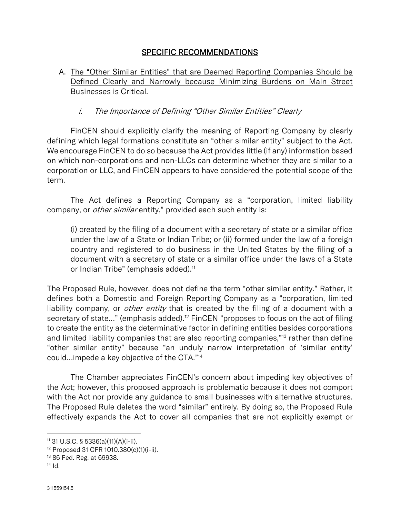#### SPECIFIC RECOMMENDATIONS

# A. The "Other Similar Entities" that are Deemed Reporting Companies Should be Defined Clearly and Narrowly because Minimizing Burdens on Main Street Businesses is Critical.

#### i. The Importance of Defining "Other Similar Entities" Clearly

FinCEN should explicitly clarify the meaning of Reporting Company by clearly defining which legal formations constitute an "other similar entity" subject to the Act. We encourage FinCEN to do so because the Act provides little (if any) information based on which non-corporations and non-LLCs can determine whether they are similar to a corporation or LLC, and FinCEN appears to have considered the potential scope of the term.

The Act defines a Reporting Company as a "corporation, limited liability company, or *other similar* entity," provided each such entity is:

(i) created by the filing of a document with a secretary of state or a similar office under the law of a State or Indian Tribe; or (ii) formed under the law of a foreign country and registered to do business in the United States by the filing of a document with a secretary of state or a similar office under the laws of a State or Indian Tribe" (emphasis added).<sup>11</sup>

The Proposed Rule, however, does not define the term "other similar entity." Rather, it defines both a Domestic and Foreign Reporting Company as a "corporation, limited liability company, or *other entity* that is created by the filing of a document with a secretary of state..." (emphasis added).<sup>12</sup> FinCEN "proposes to focus on the act of filing to create the entity as the determinative factor in defining entities besides corporations and limited liability companies that are also reporting companies,"<sup>13</sup> rather than define "other similar entity" because "an unduly narrow interpretation of 'similar entity' could…impede a key objective of the CTA."<sup>14</sup>

The Chamber appreciates FinCEN's concern about impeding key objectives of the Act; however, this proposed approach is problematic because it does not comport with the Act nor provide any guidance to small businesses with alternative structures. The Proposed Rule deletes the word "similar" entirely. By doing so, the Proposed Rule effectively expands the Act to cover all companies that are not explicitly exempt or

<sup>11</sup> 31 U.S.C. § 5336(a)(11)(A)(i-ii).

<sup>12</sup> Proposed 31 CFR 1010.380(c)(1)(i-ii).

<sup>13</sup> 86 Fed. Reg. at 69938.

 $14$  Id.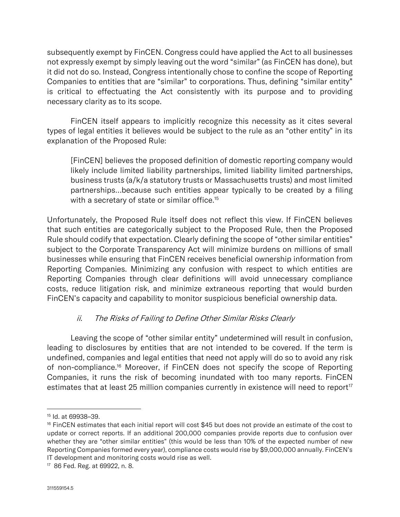subsequently exempt by FinCEN. Congress could have applied the Act to all businesses not expressly exempt by simply leaving out the word "similar" (as FinCEN has done), but it did not do so. Instead, Congress intentionally chose to confine the scope of Reporting Companies to entities that are "similar" to corporations. Thus, defining "similar entity" is critical to effectuating the Act consistently with its purpose and to providing necessary clarity as to its scope.

FinCEN itself appears to implicitly recognize this necessity as it cites several types of legal entities it believes would be subject to the rule as an "other entity" in its explanation of the Proposed Rule:

[FinCEN] believes the proposed definition of domestic reporting company would likely include limited liability partnerships, limited liability limited partnerships, business trusts (a/k/a statutory trusts or Massachusetts trusts) and most limited partnerships…because such entities appear typically to be created by a filing with a secretary of state or similar office.<sup>15</sup>

Unfortunately, the Proposed Rule itself does not reflect this view. If FinCEN believes that such entities are categorically subject to the Proposed Rule, then the Proposed Rule should codify that expectation. Clearly defining the scope of "other similar entities" subject to the Corporate Transparency Act will minimize burdens on millions of small businesses while ensuring that FinCEN receives beneficial ownership information from Reporting Companies. Minimizing any confusion with respect to which entities are Reporting Companies through clear definitions will avoid unnecessary compliance costs, reduce litigation risk, and minimize extraneous reporting that would burden FinCEN's capacity and capability to monitor suspicious beneficial ownership data.

### ii. The Risks of Failing to Define Other Similar Risks Clearly

Leaving the scope of "other similar entity" undetermined will result in confusion, leading to disclosures by entities that are not intended to be covered. If the term is undefined, companies and legal entities that need not apply will do so to avoid any risk of non-compliance.<sup>16</sup> Moreover, if FinCEN does not specify the scope of Reporting Companies, it runs the risk of becoming inundated with too many reports. FinCEN estimates that at least 25 million companies currently in existence will need to report<sup>17</sup>

<sup>15</sup> Id. at 69938–39.

 $16$  FinCEN estimates that each initial report will cost \$45 but does not provide an estimate of the cost to update or correct reports. If an additional 200,000 companies provide reports due to confusion over whether they are "other similar entities" (this would be less than 10% of the expected number of new Reporting Companies formed every year), compliance costs would rise by \$9,000,000 annually. FinCEN's IT development and monitoring costs would rise as well.

<sup>17</sup> 86 Fed. Reg. at 69922, n. 8.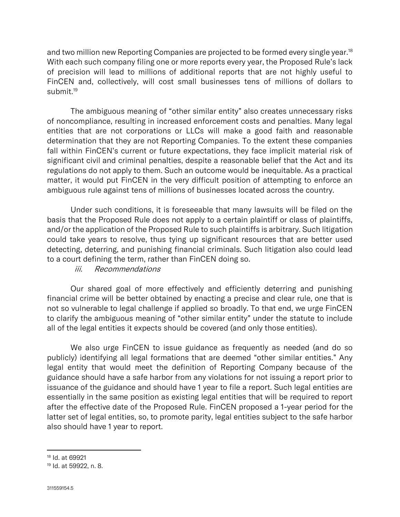and two million new Reporting Companies are projected to be formed every single year.<sup>18</sup> With each such company filing one or more reports every year, the Proposed Rule's lack of precision will lead to millions of additional reports that are not highly useful to FinCEN and, collectively, will cost small businesses tens of millions of dollars to submit.<sup>19</sup>

The ambiguous meaning of "other similar entity" also creates unnecessary risks of noncompliance, resulting in increased enforcement costs and penalties. Many legal entities that are not corporations or LLCs will make a good faith and reasonable determination that they are not Reporting Companies. To the extent these companies fall within FinCEN's current or future expectations, they face implicit material risk of significant civil and criminal penalties, despite a reasonable belief that the Act and its regulations do not apply to them. Such an outcome would be inequitable. As a practical matter, it would put FinCEN in the very difficult position of attempting to enforce an ambiguous rule against tens of millions of businesses located across the country.

Under such conditions, it is foreseeable that many lawsuits will be filed on the basis that the Proposed Rule does not apply to a certain plaintiff or class of plaintiffs, and/or the application of the Proposed Rule to such plaintiffs is arbitrary. Such litigation could take years to resolve, thus tying up significant resources that are better used detecting, deterring, and punishing financial criminals. Such litigation also could lead to a court defining the term, rather than FinCEN doing so.

#### iii. Recommendations

Our shared goal of more effectively and efficiently deterring and punishing financial crime will be better obtained by enacting a precise and clear rule, one that is not so vulnerable to legal challenge if applied so broadly. To that end, we urge FinCEN to clarify the ambiguous meaning of "other similar entity" under the statute to include all of the legal entities it expects should be covered (and only those entities).

We also urge FinCEN to issue guidance as frequently as needed (and do so publicly) identifying all legal formations that are deemed "other similar entities." Any legal entity that would meet the definition of Reporting Company because of the guidance should have a safe harbor from any violations for not issuing a report prior to issuance of the guidance and should have 1 year to file a report. Such legal entities are essentially in the same position as existing legal entities that will be required to report after the effective date of the Proposed Rule. FinCEN proposed a 1-year period for the latter set of legal entities, so, to promote parity, legal entities subject to the safe harbor also should have 1 year to report.

<sup>18</sup> Id. at 69921

<sup>19</sup> Id. at 59922, n. 8.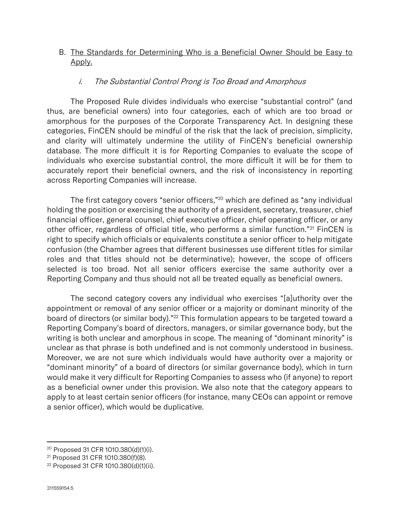### B. The Standards for Determining Who is a Beneficial Owner Should be Easy to Apply.

#### i. The Substantial Control Prong is Too Broad and Amorphous

The Proposed Rule divides individuals who exercise "substantial control" (and thus, are beneficial owners) into four categories, each of which are too broad or amorphous for the purposes of the Corporate Transparency Act. In designing these categories, FinCEN should be mindful of the risk that the lack of precision, simplicity, and clarity will ultimately undermine the utility of FinCEN's beneficial ownership database. The more difficult it is for Reporting Companies to evaluate the scope of individuals who exercise substantial control, the more difficult it will be for them to accurately report their beneficial owners, and the risk of inconsistency in reporting across Reporting Companies will increase.

The first category covers "senior officers,"<sup>20</sup> which are defined as "any individual holding the position or exercising the authority of a president, secretary, treasurer, chief financial officer, general counsel, chief executive officer, chief operating officer, or any other officer, regardless of official title, who performs a similar function."<sup>21</sup> FinCEN is right to specify which officials or equivalents constitute a senior officer to help mitigate confusion (the Chamber agrees that different businesses use different titles for similar roles and that titles should not be determinative); however, the scope of officers selected is too broad. Not all senior officers exercise the same authority over a Reporting Company and thus should not all be treated equally as beneficial owners.

The second category covers any individual who exercises "[a]uthority over the appointment or removal of any senior officer or a majority or dominant minority of the board of directors (or similar body)."<sup>22</sup> This formulation appears to be targeted toward a Reporting Company's board of directors, managers, or similar governance body, but the writing is both unclear and amorphous in scope. The meaning of "dominant minority" is unclear as that phrase is both undefined and is not commonly understood in business. Moreover, we are not sure which individuals would have authority over a majority or "dominant minority" of a board of directors (or similar governance body), which in turn would make it very difficult for Reporting Companies to assess who (if anyone) to report as a beneficial owner under this provision. We also note that the category appears to apply to at least certain senior officers (for instance, many CEOs can appoint or remove a senior officer), which would be duplicative.

<sup>20</sup> Proposed 31 CFR 1010.380(d)(1)(i).

<sup>21</sup> Proposed 31 CFR 1010.380(f)(8).

<sup>22</sup> Proposed 31 CFR 1010.380(d)(1)(ii).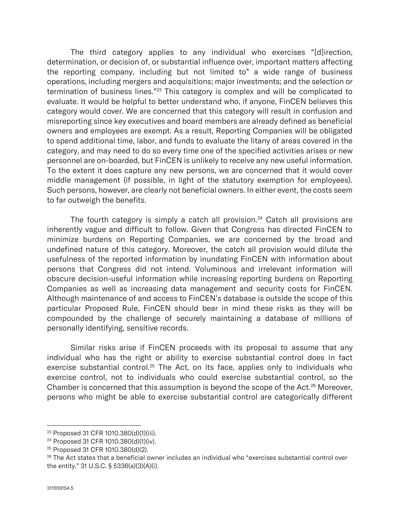The third category applies to any individual who exercises "[d]irection, determination, or decision of, or substantial influence over, important matters affecting the reporting company, including but not limited to" a wide range of business operations, including mergers and acquisitions; major investments; and the selection or termination of business lines."<sup>23</sup> This category is complex and will be complicated to evaluate. It would be helpful to better understand who, if anyone, FinCEN believes this category would cover. We are concerned that this category will result in confusion and misreporting since key executives and board members are already defined as beneficial owners and employees are exempt. As a result, Reporting Companies will be obligated to spend additional time, labor, and funds to evaluate the litany of areas covered in the category, and may need to do so every time one of the specified activities arises or new personnel are on-boarded, but FinCEN is unlikely to receive any new useful information. To the extent it does capture any new persons, we are concerned that it would cover middle management (if possible, in light of the statutory exemption for employees). Such persons, however, are clearly not beneficial owners. In either event, the costs seem to far outweigh the benefits.

The fourth category is simply a catch all provision.<sup>24</sup> Catch all provisions are inherently vague and difficult to follow. Given that Congress has directed FinCEN to minimize burdens on Reporting Companies, we are concerned by the broad and undefined nature of this category. Moreover, the catch all provision would dilute the usefulness of the reported information by inundating FinCEN with information about persons that Congress did not intend. Voluminous and irrelevant information will obscure decision-useful information while increasing reporting burdens on Reporting Companies as well as increasing data management and security costs for FinCEN. Although maintenance of and access to FinCEN's database is outside the scope of this particular Proposed Rule, FinCEN should bear in mind these risks as they will be compounded by the challenge of securely maintaining a database of millions of personally identifying, sensitive records.

Similar risks arise if FinCEN proceeds with its proposal to assume that any individual who has the right or ability to exercise substantial control does in fact exercise substantial control.<sup>25</sup> The Act, on its face, applies only to individuals who exercise control, not to individuals who could exercise substantial control, so the Chamber is concerned that this assumption is beyond the scope of the Act.<sup>26</sup> Moreover, persons who might be able to exercise substantial control are categorically different

<sup>23</sup> Proposed 31 CFR 1010.380(d)(1)(iii).

<sup>24</sup> Proposed 31 CFR 1010.380(d)(1)(iv).

<sup>25</sup> Proposed 31 CFR 1010.380(d)(2).

 $26$  The Act states that a beneficial owner includes an individual who "exercises substantial control over the entity." 31 U.S.C. § 5336(a)(3)(A)(i).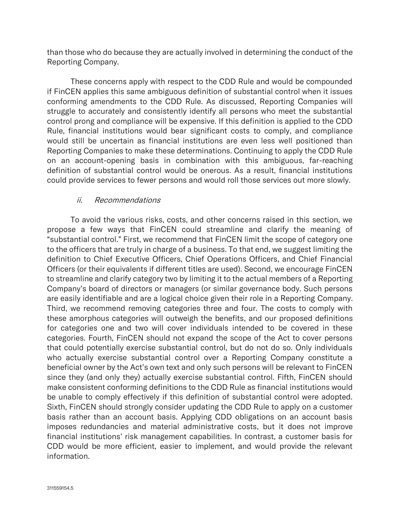than those who do because they are actually involved in determining the conduct of the Reporting Company.

These concerns apply with respect to the CDD Rule and would be compounded if FinCEN applies this same ambiguous definition of substantial control when it issues conforming amendments to the CDD Rule. As discussed, Reporting Companies will struggle to accurately and consistently identify all persons who meet the substantial control prong and compliance will be expensive. If this definition is applied to the CDD Rule, financial institutions would bear significant costs to comply, and compliance would still be uncertain as financial institutions are even less well positioned than Reporting Companies to make these determinations. Continuing to apply the CDD Rule on an account-opening basis in combination with this ambiguous, far-reaching definition of substantial control would be onerous. As a result, financial institutions could provide services to fewer persons and would roll those services out more slowly.

### ii. Recommendations

To avoid the various risks, costs, and other concerns raised in this section, we propose a few ways that FinCEN could streamline and clarify the meaning of "substantial control." First, we recommend that FinCEN limit the scope of category one to the officers that are truly in charge of a business. To that end, we suggest limiting the definition to Chief Executive Officers, Chief Operations Officers, and Chief Financial Officers (or their equivalents if different titles are used). Second, we encourage FinCEN to streamline and clarify category two by limiting it to the actual members of a Reporting Company's board of directors or managers (or similar governance body. Such persons are easily identifiable and are a logical choice given their role in a Reporting Company. Third, we recommend removing categories three and four. The costs to comply with these amorphous categories will outweigh the benefits, and our proposed definitions for categories one and two will cover individuals intended to be covered in these categories. Fourth, FinCEN should not expand the scope of the Act to cover persons that could potentially exercise substantial control, but do not do so. Only individuals who actually exercise substantial control over a Reporting Company constitute a beneficial owner by the Act's own text and only such persons will be relevant to FinCEN since they (and only they) actually exercise substantial control. Fifth, FinCEN should make consistent conforming definitions to the CDD Rule as financial institutions would be unable to comply effectively if this definition of substantial control were adopted. Sixth, FinCEN should strongly consider updating the CDD Rule to apply on a customer basis rather than an account basis. Applying CDD obligations on an account basis imposes redundancies and material administrative costs, but it does not improve financial institutions' risk management capabilities. In contrast, a customer basis for CDD would be more efficient, easier to implement, and would provide the relevant information.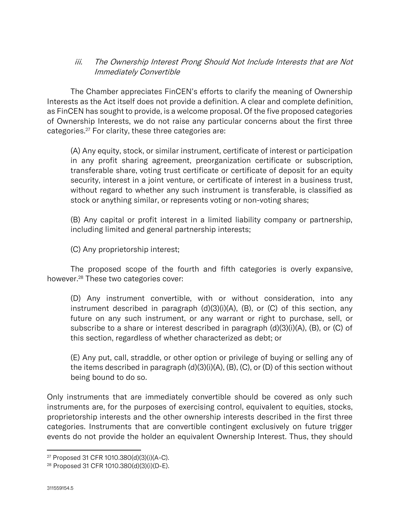### iii. The Ownership Interest Prong Should Not Include Interests that are Not Immediately Convertible

The Chamber appreciates FinCEN's efforts to clarify the meaning of Ownership Interests as the Act itself does not provide a definition. A clear and complete definition, as FinCEN has sought to provide, is a welcome proposal. Of the five proposed categories of Ownership Interests, we do not raise any particular concerns about the first three categories.<sup>27</sup> For clarity, these three categories are:

(A) Any equity, stock, or similar instrument, certificate of interest or participation in any profit sharing agreement, preorganization certificate or subscription, transferable share, voting trust certificate or certificate of deposit for an equity security, interest in a joint venture, or certificate of interest in a business trust, without regard to whether any such instrument is transferable, is classified as stock or anything similar, or represents voting or non-voting shares;

(B) Any capital or profit interest in a limited liability company or partnership, including limited and general partnership interests;

(C) Any proprietorship interest;

The proposed scope of the fourth and fifth categories is overly expansive, however.<sup>28</sup> These two categories cover:

(D) Any instrument convertible, with or without consideration, into any instrument described in paragraph (d)(3)(i)(A), (B), or (C) of this section, any future on any such instrument, or any warrant or right to purchase, sell, or subscribe to a share or interest described in paragraph (d)(3)(i)(A), (B), or (C) of this section, regardless of whether characterized as debt; or

(E) Any put, call, straddle, or other option or privilege of buying or selling any of the items described in paragraph (d)(3)(i)(A), (B), (C), or (D) of this section without being bound to do so.

Only instruments that are immediately convertible should be covered as only such instruments are, for the purposes of exercising control, equivalent to equities, stocks, proprietorship interests and the other ownership interests described in the first three categories. Instruments that are convertible contingent exclusively on future trigger events do not provide the holder an equivalent Ownership Interest. Thus, they should

<sup>27</sup> Proposed 31 CFR 1010.380(d)(3)(i)(A-C).

<sup>28</sup> Proposed 31 CFR 1010.380(d)(3)(i)(D-E).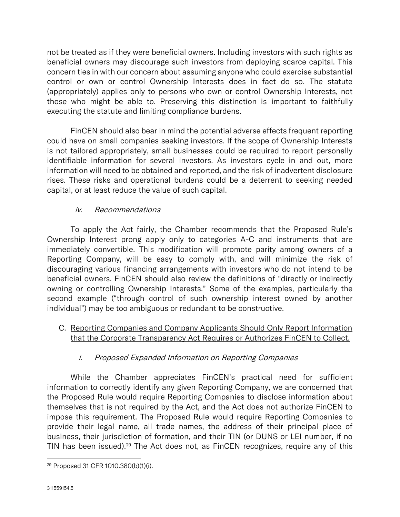not be treated as if they were beneficial owners. Including investors with such rights as beneficial owners may discourage such investors from deploying scarce capital. This concern ties in with our concern about assuming anyone who could exercise substantial control or own or control Ownership Interests does in fact do so. The statute (appropriately) applies only to persons who own or control Ownership Interests, not those who might be able to. Preserving this distinction is important to faithfully executing the statute and limiting compliance burdens.

FinCEN should also bear in mind the potential adverse effects frequent reporting could have on small companies seeking investors. If the scope of Ownership Interests is not tailored appropriately, small businesses could be required to report personally identifiable information for several investors. As investors cycle in and out, more information will need to be obtained and reported, and the risk of inadvertent disclosure rises. These risks and operational burdens could be a deterrent to seeking needed capital, or at least reduce the value of such capital.

# iv. Recommendations

To apply the Act fairly, the Chamber recommends that the Proposed Rule's Ownership Interest prong apply only to categories A-C and instruments that are immediately convertible. This modification will promote parity among owners of a Reporting Company, will be easy to comply with, and will minimize the risk of discouraging various financing arrangements with investors who do not intend to be beneficial owners. FinCEN should also review the definitions of "directly or indirectly owning or controlling Ownership Interests." Some of the examples, particularly the second example ("through control of such ownership interest owned by another individual") may be too ambiguous or redundant to be constructive.

# C. Reporting Companies and Company Applicants Should Only Report Information that the Corporate Transparency Act Requires or Authorizes FinCEN to Collect.

### i. Proposed Expanded Information on Reporting Companies

While the Chamber appreciates FinCEN's practical need for sufficient information to correctly identify any given Reporting Company, we are concerned that the Proposed Rule would require Reporting Companies to disclose information about themselves that is not required by the Act, and the Act does not authorize FinCEN to impose this requirement. The Proposed Rule would require Reporting Companies to provide their legal name, all trade names, the address of their principal place of business, their jurisdiction of formation, and their TIN (or DUNS or LEI number, if no TIN has been issued).<sup>29</sup> The Act does not, as  $FinCEN$  recognizes, require any of this

<sup>29</sup> Proposed 31 CFR 1010.380(b)(1)(i).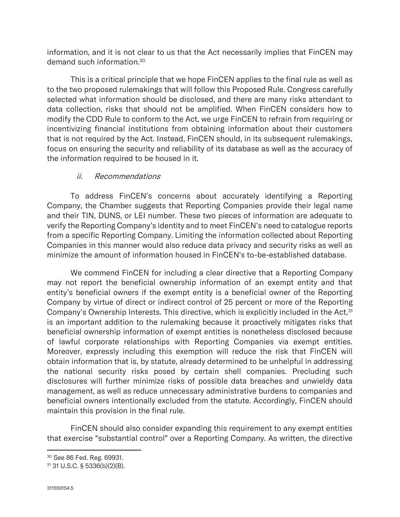information, and it is not clear to us that the Act necessarily implies that FinCEN may demand such information.<sup>30</sup>

This is a critical principle that we hope FinCEN applies to the final rule as well as to the two proposed rulemakings that will follow this Proposed Rule. Congress carefully selected what information should be disclosed, and there are many risks attendant to data collection, risks that should not be amplified. When FinCEN considers how to modify the CDD Rule to conform to the Act, we urge FinCEN to refrain from requiring or incentivizing financial institutions from obtaining information about their customers that is not required by the Act. Instead, FinCEN should, in its subsequent rulemakings, focus on ensuring the security and reliability of its database as well as the accuracy of the information required to be housed in it.

# ii. Recommendations

To address FinCEN's concerns about accurately identifying a Reporting Company, the Chamber suggests that Reporting Companies provide their legal name and their TIN, DUNS, or LEI number. These two pieces of information are adequate to verify the Reporting Company's identity and to meet FinCEN's need to catalogue reports from a specific Reporting Company. Limiting the information collected about Reporting Companies in this manner would also reduce data privacy and security risks as well as minimize the amount of information housed in FinCEN's to-be-established database.

We commend FinCEN for including a clear directive that a Reporting Company may not report the beneficial ownership information of an exempt entity and that entity's beneficial owners if the exempt entity is a beneficial owner of the Reporting Company by virtue of direct or indirect control of 25 percent or more of the Reporting Company's Ownership Interests. This directive, which is explicitly included in the Act,<sup>31</sup> is an important addition to the rulemaking because it proactively mitigates risks that beneficial ownership information of exempt entities is nonetheless disclosed because of lawful corporate relationships with Reporting Companies via exempt entities. Moreover, expressly including this exemption will reduce the risk that FinCEN will obtain information that is, by statute, already determined to be unhelpful in addressing the national security risks posed by certain shell companies. Precluding such disclosures will further minimize risks of possible data breaches and unwieldy data management, as well as reduce unnecessary administrative burdens to companies and beneficial owners intentionally excluded from the statute. Accordingly, FinCEN should maintain this provision in the final rule.

FinCEN should also consider expanding this requirement to any exempt entities that exercise "substantial control" over a Reporting Company. As written, the directive

<sup>30</sup> See 86 Fed. Reg. 69931.

<sup>31</sup> 31 U.S.C. § 5336(b)(2)(B).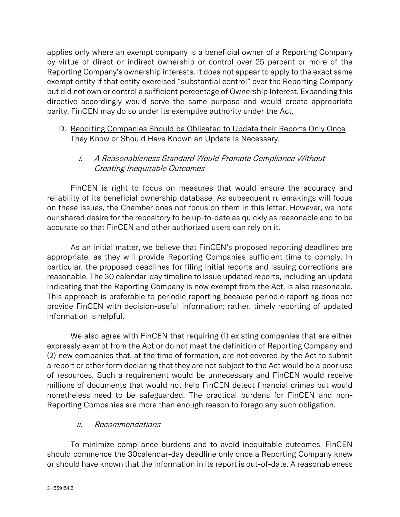applies only where an exempt company is a beneficial owner of a Reporting Company by virtue of direct or indirect ownership or control over 25 percent or more of the Reporting Company's ownership interests. It does not appear to apply to the exact same exempt entity if that entity exercised "substantial control" over the Reporting Company but did not own or control a sufficient percentage of Ownership Interest. Expanding this directive accordingly would serve the same purpose and would create appropriate parity. FinCEN may do so under its exemptive authority under the Act.

### D. Reporting Companies Should be Obligated to Update their Reports Only Once They Know or Should Have Known an Update Is Necessary.

# i. A Reasonableness Standard Would Promote Compliance Without Creating Inequitable Outcomes

FinCEN is right to focus on measures that would ensure the accuracy and reliability of its beneficial ownership database. As subsequent rulemakings will focus on these issues, the Chamber does not focus on them in this letter. However, we note our shared desire for the repository to be up-to-date as quickly as reasonable and to be accurate so that FinCEN and other authorized users can rely on it.

As an initial matter, we believe that FinCEN's proposed reporting deadlines are appropriate, as they will provide Reporting Companies sufficient time to comply. In particular, the proposed deadlines for filing initial reports and issuing corrections are reasonable. The 30 calendar-day timeline to issue updated reports, including an update indicating that the Reporting Company is now exempt from the Act, is also reasonable. This approach is preferable to periodic reporting because periodic reporting does not provide FinCEN with decision-useful information; rather, timely reporting of updated information is helpful.

We also agree with FinCEN that requiring (1) existing companies that are either expressly exempt from the Act or do not meet the definition of Reporting Company and (2) new companies that, at the time of formation, are not covered by the Act to submit a report or other form declaring that they are not subject to the Act would be a poor use of resources. Such a requirement would be unnecessary and FinCEN would receive millions of documents that would not help FinCEN detect financial crimes but would nonetheless need to be safeguarded. The practical burdens for FinCEN and non-Reporting Companies are more than enough reason to forego any such obligation.

### ii. Recommendations

To minimize compliance burdens and to avoid inequitable outcomes, FinCEN should commence the 30calendar-day deadline only once a Reporting Company knew or should have known that the information in its report is out-of-date. A reasonableness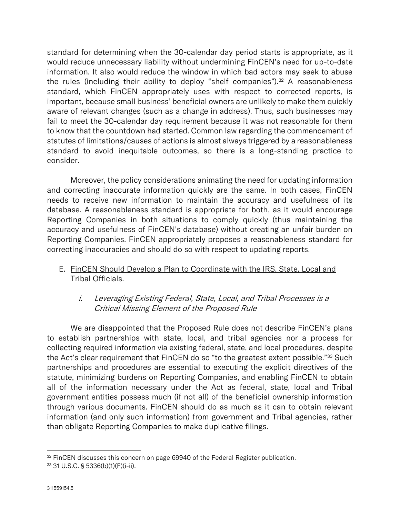standard for determining when the 30-calendar day period starts is appropriate, as it would reduce unnecessary liability without undermining FinCEN's need for up-to-date information. It also would reduce the window in which bad actors may seek to abuse the rules (including their ability to deploy "shelf companies"). $32$  A reasonableness standard, which FinCEN appropriately uses with respect to corrected reports, is important, because small business' beneficial owners are unlikely to make them quickly aware of relevant changes (such as a change in address). Thus, such businesses may fail to meet the 30-calendar day requirement because it was not reasonable for them to know that the countdown had started. Common law regarding the commencement of statutes of limitations/causes of actions is almost always triggered by a reasonableness standard to avoid inequitable outcomes, so there is a long-standing practice to consider.

Moreover, the policy considerations animating the need for updating information and correcting inaccurate information quickly are the same. In both cases, FinCEN needs to receive new information to maintain the accuracy and usefulness of its database. A reasonableness standard is appropriate for both, as it would encourage Reporting Companies in both situations to comply quickly (thus maintaining the accuracy and usefulness of FinCEN's database) without creating an unfair burden on Reporting Companies. FinCEN appropriately proposes a reasonableness standard for correcting inaccuracies and should do so with respect to updating reports.

# E. FinCEN Should Develop a Plan to Coordinate with the IRS, State, Local and Tribal Officials.

# i. Leveraging Existing Federal, State, Local, and Tribal Processes is a Critical Missing Element of the Proposed Rule

We are disappointed that the Proposed Rule does not describe FinCEN's plans to establish partnerships with state, local, and tribal agencies nor a process for collecting required information via existing federal, state, and local procedures, despite the Act's clear requirement that FinCEN do so "to the greatest extent possible."<sup>33</sup> Such partnerships and procedures are essential to executing the explicit directives of the statute, minimizing burdens on Reporting Companies, and enabling FinCEN to obtain all of the information necessary under the Act as federal, state, local and Tribal government entities possess much (if not all) of the beneficial ownership information through various documents. FinCEN should do as much as it can to obtain relevant information (and only such information) from government and Tribal agencies, rather than obligate Reporting Companies to make duplicative filings.

<sup>&</sup>lt;sup>32</sup> FinCEN discusses this concern on page 69940 of the Federal Register publication.

<sup>33</sup> 31 U.S.C. § 5336(b)(1)(F)(i-ii).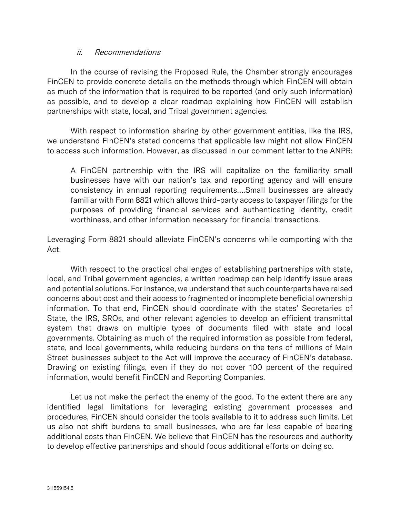#### ii. Recommendations

In the course of revising the Proposed Rule, the Chamber strongly encourages FinCEN to provide concrete details on the methods through which FinCEN will obtain as much of the information that is required to be reported (and only such information) as possible, and to develop a clear roadmap explaining how FinCEN will establish partnerships with state, local, and Tribal government agencies.

With respect to information sharing by other government entities, like the IRS, we understand FinCEN's stated concerns that applicable law might not allow FinCEN to access such information. However, as discussed in our comment letter to the ANPR:

A FinCEN partnership with the IRS will capitalize on the familiarity small businesses have with our nation's tax and reporting agency and will ensure consistency in annual reporting requirements….Small businesses are already familiar with Form 8821 which allows third-party access to taxpayer filings for the purposes of providing financial services and authenticating identity, credit worthiness, and other information necessary for financial transactions.

Leveraging Form 8821 should alleviate FinCEN's concerns while comporting with the Act.

With respect to the practical challenges of establishing partnerships with state, local, and Tribal government agencies, a written roadmap can help identify issue areas and potential solutions. For instance, we understand that such counterparts have raised concerns about cost and their access to fragmented or incomplete beneficial ownership information. To that end, FinCEN should coordinate with the states' Secretaries of State, the IRS, SROs, and other relevant agencies to develop an efficient transmittal system that draws on multiple types of documents filed with state and local governments. Obtaining as much of the required information as possible from federal, state, and local governments, while reducing burdens on the tens of millions of Main Street businesses subject to the Act will improve the accuracy of FinCEN's database. Drawing on existing filings, even if they do not cover 100 percent of the required information, would benefit FinCEN and Reporting Companies.

Let us not make the perfect the enemy of the good. To the extent there are any identified legal limitations for leveraging existing government processes and procedures, FinCEN should consider the tools available to it to address such limits. Let us also not shift burdens to small businesses, who are far less capable of bearing additional costs than FinCEN. We believe that FinCEN has the resources and authority to develop effective partnerships and should focus additional efforts on doing so.